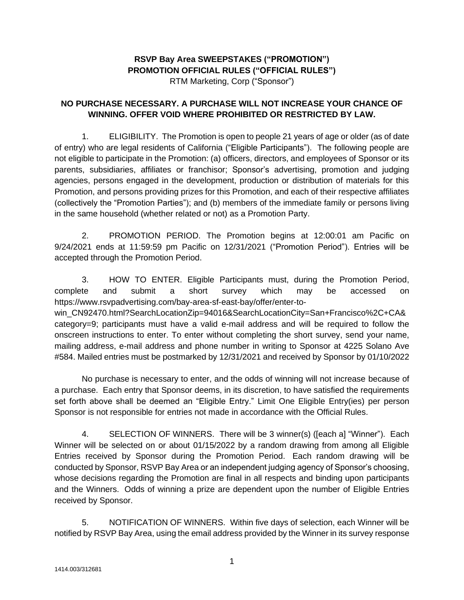## **RSVP Bay Area SWEEPSTAKES ("PROMOTION") PROMOTION OFFICIAL RULES ("OFFICIAL RULES")**

RTM Marketing, Corp ("Sponsor")

## **NO PURCHASE NECESSARY. A PURCHASE WILL NOT INCREASE YOUR CHANCE OF WINNING. OFFER VOID WHERE PROHIBITED OR RESTRICTED BY LAW.**

1. ELIGIBILITY. The Promotion is open to people 21 years of age or older (as of date of entry) who are legal residents of California ("Eligible Participants"). The following people are not eligible to participate in the Promotion: (a) officers, directors, and employees of Sponsor or its parents, subsidiaries, affiliates or franchisor; Sponsor's advertising, promotion and judging agencies, persons engaged in the development, production or distribution of materials for this Promotion, and persons providing prizes for this Promotion, and each of their respective affiliates (collectively the "Promotion Parties"); and (b) members of the immediate family or persons living in the same household (whether related or not) as a Promotion Party.

2. PROMOTION PERIOD. The Promotion begins at 12:00:01 am Pacific on 9/24/2021 ends at 11:59:59 pm Pacific on 12/31/2021 ("Promotion Period"). Entries will be accepted through the Promotion Period.

3. HOW TO ENTER. Eligible Participants must, during the Promotion Period, complete and submit a short survey which may be accessed on https://www.rsvpadvertising.com/bay-area-sf-east-bay/offer/enter-to-

win\_CN92470.html?SearchLocationZip=94016&SearchLocationCity=San+Francisco%2C+CA& category=9; participants must have a valid e-mail address and will be required to follow the onscreen instructions to enter. To enter without completing the short survey, send your name, mailing address, e-mail address and phone number in writing to Sponsor at 4225 Solano Ave #584. Mailed entries must be postmarked by 12/31/2021 and received by Sponsor by 01/10/2022

No purchase is necessary to enter, and the odds of winning will not increase because of a purchase. Each entry that Sponsor deems, in its discretion, to have satisfied the requirements set forth above shall be deemed an "Eligible Entry." Limit One Eligible Entry(ies) per person Sponsor is not responsible for entries not made in accordance with the Official Rules.

4. SELECTION OF WINNERS. There will be 3 winner(s) ([each a] "Winner"). Each Winner will be selected on or about 01/15/2022 by a random drawing from among all Eligible Entries received by Sponsor during the Promotion Period. Each random drawing will be conducted by Sponsor, RSVP Bay Area or an independent judging agency of Sponsor's choosing, whose decisions regarding the Promotion are final in all respects and binding upon participants and the Winners. Odds of winning a prize are dependent upon the number of Eligible Entries received by Sponsor.

5. NOTIFICATION OF WINNERS. Within five days of selection, each Winner will be notified by RSVP Bay Area, using the email address provided by the Winner in its survey response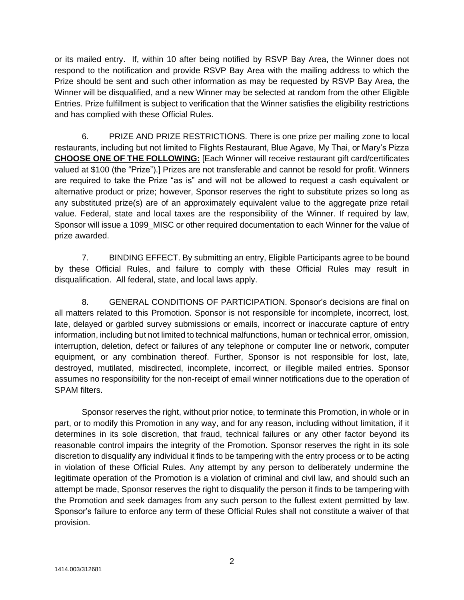or its mailed entry. If, within 10 after being notified by RSVP Bay Area, the Winner does not respond to the notification and provide RSVP Bay Area with the mailing address to which the Prize should be sent and such other information as may be requested by RSVP Bay Area, the Winner will be disqualified, and a new Winner may be selected at random from the other Eligible Entries. Prize fulfillment is subject to verification that the Winner satisfies the eligibility restrictions and has complied with these Official Rules.

6. PRIZE AND PRIZE RESTRICTIONS. There is one prize per mailing zone to local restaurants, including but not limited to Flights Restaurant, Blue Agave, My Thai, or Mary's Pizza **CHOOSE ONE OF THE FOLLOWING:** [Each Winner will receive restaurant gift card/certificates valued at \$100 (the "Prize").] Prizes are not transferable and cannot be resold for profit. Winners are required to take the Prize "as is" and will not be allowed to request a cash equivalent or alternative product or prize; however, Sponsor reserves the right to substitute prizes so long as any substituted prize(s) are of an approximately equivalent value to the aggregate prize retail value. Federal, state and local taxes are the responsibility of the Winner. If required by law, Sponsor will issue a 1099\_MISC or other required documentation to each Winner for the value of prize awarded.

7. BINDING EFFECT. By submitting an entry, Eligible Participants agree to be bound by these Official Rules, and failure to comply with these Official Rules may result in disqualification. All federal, state, and local laws apply.

8. GENERAL CONDITIONS OF PARTICIPATION. Sponsor's decisions are final on all matters related to this Promotion. Sponsor is not responsible for incomplete, incorrect, lost, late, delayed or garbled survey submissions or emails, incorrect or inaccurate capture of entry information, including but not limited to technical malfunctions, human or technical error, omission, interruption, deletion, defect or failures of any telephone or computer line or network, computer equipment, or any combination thereof. Further, Sponsor is not responsible for lost, late, destroyed, mutilated, misdirected, incomplete, incorrect, or illegible mailed entries. Sponsor assumes no responsibility for the non-receipt of email winner notifications due to the operation of SPAM filters.

Sponsor reserves the right, without prior notice, to terminate this Promotion, in whole or in part, or to modify this Promotion in any way, and for any reason, including without limitation, if it determines in its sole discretion, that fraud, technical failures or any other factor beyond its reasonable control impairs the integrity of the Promotion. Sponsor reserves the right in its sole discretion to disqualify any individual it finds to be tampering with the entry process or to be acting in violation of these Official Rules. Any attempt by any person to deliberately undermine the legitimate operation of the Promotion is a violation of criminal and civil law, and should such an attempt be made, Sponsor reserves the right to disqualify the person it finds to be tampering with the Promotion and seek damages from any such person to the fullest extent permitted by law. Sponsor's failure to enforce any term of these Official Rules shall not constitute a waiver of that provision.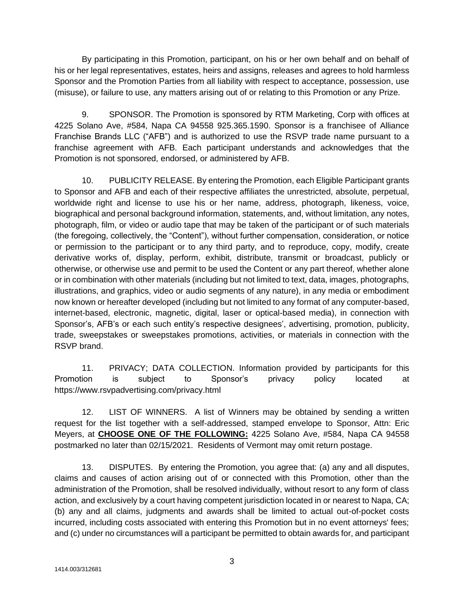By participating in this Promotion, participant, on his or her own behalf and on behalf of his or her legal representatives, estates, heirs and assigns, releases and agrees to hold harmless Sponsor and the Promotion Parties from all liability with respect to acceptance, possession, use (misuse), or failure to use, any matters arising out of or relating to this Promotion or any Prize.

9. SPONSOR. The Promotion is sponsored by RTM Marketing, Corp with offices at 4225 Solano Ave, #584, Napa CA 94558 925.365.1590. Sponsor is a franchisee of Alliance Franchise Brands LLC ("AFB") and is authorized to use the RSVP trade name pursuant to a franchise agreement with AFB. Each participant understands and acknowledges that the Promotion is not sponsored, endorsed, or administered by AFB.

10. PUBLICITY RELEASE. By entering the Promotion, each Eligible Participant grants to Sponsor and AFB and each of their respective affiliates the unrestricted, absolute, perpetual, worldwide right and license to use his or her name, address, photograph, likeness, voice, biographical and personal background information, statements, and, without limitation, any notes, photograph, film, or video or audio tape that may be taken of the participant or of such materials (the foregoing, collectively, the "Content"), without further compensation, consideration, or notice or permission to the participant or to any third party, and to reproduce, copy, modify, create derivative works of, display, perform, exhibit, distribute, transmit or broadcast, publicly or otherwise, or otherwise use and permit to be used the Content or any part thereof, whether alone or in combination with other materials (including but not limited to text, data, images, photographs, illustrations, and graphics, video or audio segments of any nature), in any media or embodiment now known or hereafter developed (including but not limited to any format of any computer-based, internet-based, electronic, magnetic, digital, laser or optical-based media), in connection with Sponsor's, AFB's or each such entity's respective designees', advertising, promotion, publicity, trade, sweepstakes or sweepstakes promotions, activities, or materials in connection with the RSVP brand.

11. PRIVACY; DATA COLLECTION. Information provided by participants for this Promotion is subject to Sponsor's privacy policy located at https://www.rsvpadvertising.com/privacy.html

12. LIST OF WINNERS. A list of Winners may be obtained by sending a written request for the list together with a self-addressed, stamped envelope to Sponsor, Attn: Eric Meyers, at **CHOOSE ONE OF THE FOLLOWING:** 4225 Solano Ave, #584, Napa CA 94558 postmarked no later than 02/15/2021. Residents of Vermont may omit return postage.

13. DISPUTES. By entering the Promotion, you agree that: (a) any and all disputes, claims and causes of action arising out of or connected with this Promotion, other than the administration of the Promotion, shall be resolved individually, without resort to any form of class action, and exclusively by a court having competent jurisdiction located in or nearest to Napa, CA; (b) any and all claims, judgments and awards shall be limited to actual out-of-pocket costs incurred, including costs associated with entering this Promotion but in no event attorneys' fees; and (c) under no circumstances will a participant be permitted to obtain awards for, and participant